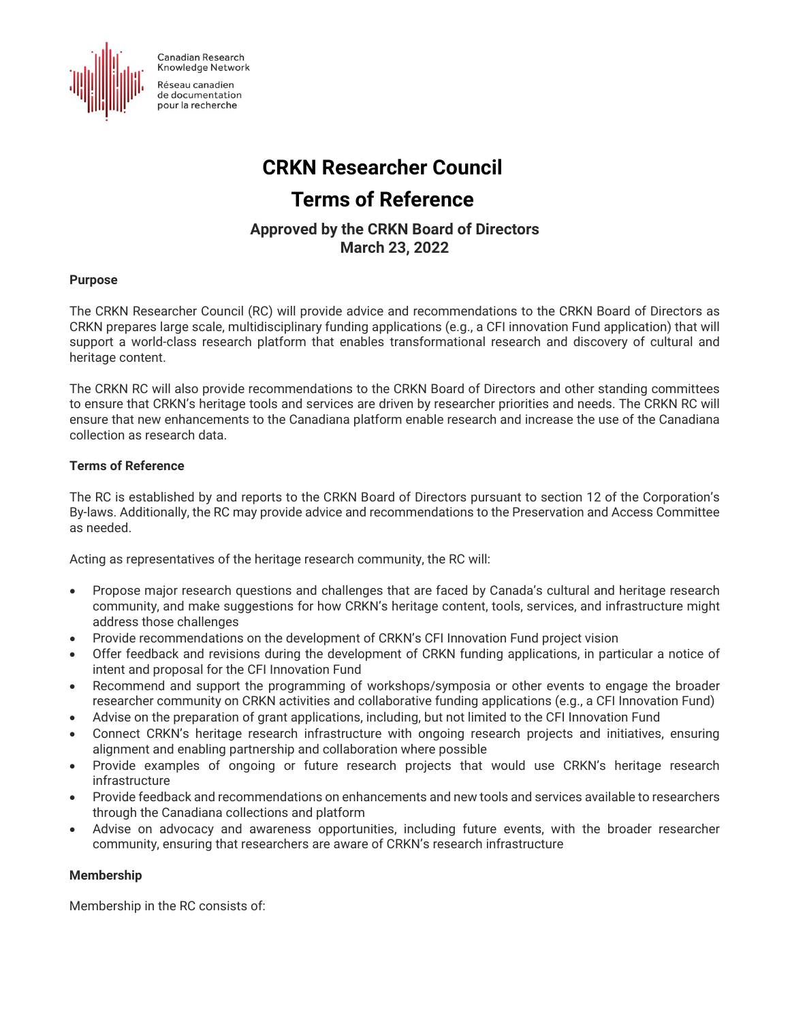**Canadian Research** Knowledge Network



Réseau canadien de documentation pour la recherche

# **CRKN Researcher Council**

# **Terms of Reference**

# **Approved by the CRKN Board of Directors**

**March 23, 2022**

## **Purpose**

The CRKN Researcher Council (RC) will provide advice and recommendations to the CRKN Board of Directors as CRKN prepares large scale, multidisciplinary funding applications (e.g., a CFI innovation Fund application) that will support a world-class research platform that enables transformational research and discovery of cultural and heritage content.

The CRKN RC will also provide recommendations to the CRKN Board of Directors and other standing committees to ensure that CRKN's heritage tools and services are driven by researcher priorities and needs. The CRKN RC will ensure that new enhancements to the Canadiana platform enable research and increase the use of the Canadiana collection as research data.

## **Terms of Reference**

The RC is established by and reports to the CRKN Board of Directors pursuant to section 12 of the Corporation's By-laws. Additionally, the RC may provide advice and recommendations to the Preservation and Access Committee as needed.

Acting as representatives of the heritage research community, the RC will:

- Propose major research questions and challenges that are faced by Canada's cultural and heritage research community, and make suggestions for how CRKN's heritage content, tools, services, and infrastructure might address those challenges
- Provide recommendations on the development of CRKN's CFI Innovation Fund project vision
- Offer feedback and revisions during the development of CRKN funding applications, in particular a notice of intent and proposal for the CFI Innovation Fund
- Recommend and support the programming of workshops/symposia or other events to engage the broader researcher community on CRKN activities and collaborative funding applications (e.g., a CFI Innovation Fund)
- Advise on the preparation of grant applications, including, but not limited to the CFI Innovation Fund
- Connect CRKN's heritage research infrastructure with ongoing research projects and initiatives, ensuring alignment and enabling partnership and collaboration where possible
- Provide examples of ongoing or future research projects that would use CRKN's heritage research infrastructure
- Provide feedback and recommendations on enhancements and new tools and services available to researchers through the Canadiana collections and platform
- Advise on advocacy and awareness opportunities, including future events, with the broader researcher community, ensuring that researchers are aware of CRKN's research infrastructure

### **Membership**

Membership in the RC consists of: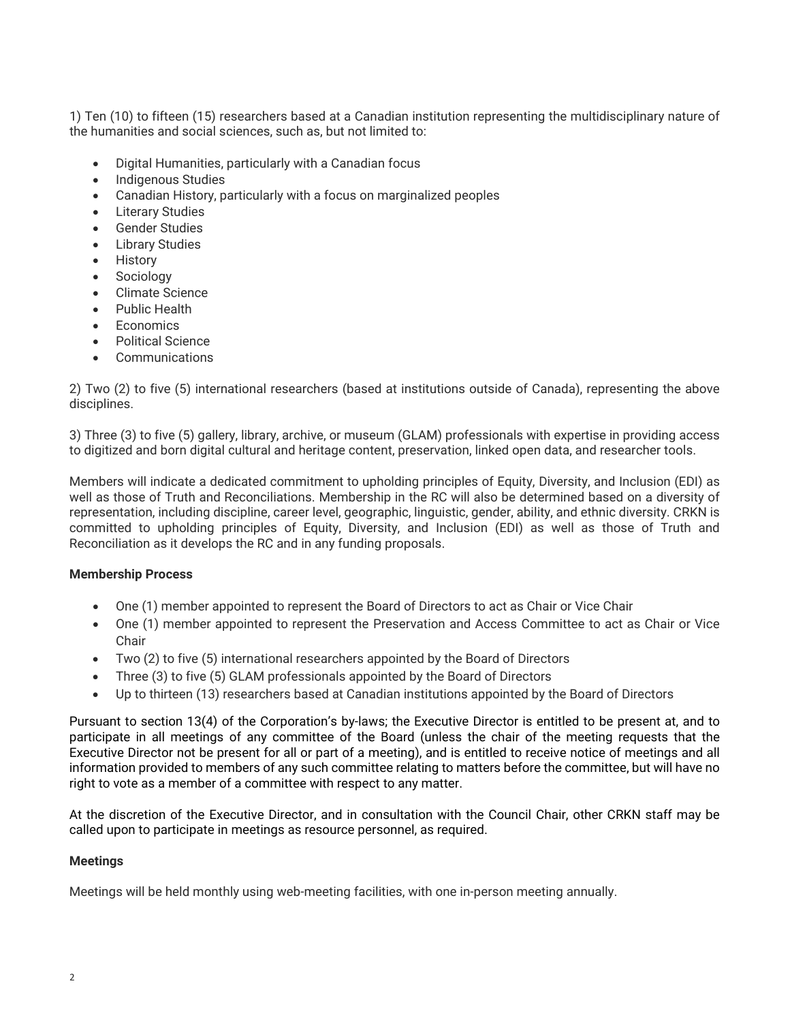1) Ten (10) to fifteen (15) researchers based at a Canadian institution representing the multidisciplinary nature of the humanities and social sciences, such as, but not limited to:

- Digital Humanities, particularly with a Canadian focus
- Indigenous Studies
- Canadian History, particularly with a focus on marginalized peoples
- Literary Studies
- Gender Studies
- **Library Studies**
- History
- Sociology
- Climate Science
- Public Health
- Economics
- Political Science
- **Communications**

2) Two (2) to five (5) international researchers (based at institutions outside of Canada), representing the above disciplines.

3) Three (3) to five (5) gallery, library, archive, or museum (GLAM) professionals with expertise in providing access to digitized and born digital cultural and heritage content, preservation, linked open data, and researcher tools.

Members will indicate a dedicated commitment to upholding principles of Equity, Diversity, and Inclusion (EDI) as well as those of Truth and Reconciliations. Membership in the RC will also be determined based on a diversity of representation, including discipline, career level, geographic, linguistic, gender, ability, and ethnic diversity. CRKN is committed to upholding principles of Equity, Diversity, and Inclusion (EDI) as well as those of Truth and Reconciliation as it develops the RC and in any funding proposals.

### **Membership Process**

- One (1) member appointed to represent the Board of Directors to act as Chair or Vice Chair
- One (1) member appointed to represent the Preservation and Access Committee to act as Chair or Vice Chair
- Two (2) to five (5) international researchers appointed by the Board of Directors
- Three (3) to five (5) GLAM professionals appointed by the Board of Directors
- Up to thirteen (13) researchers based at Canadian institutions appointed by the Board of Directors

Pursuant to section 13(4) of the Corporation's by-laws; the Executive Director is entitled to be present at, and to participate in all meetings of any committee of the Board (unless the chair of the meeting requests that the Executive Director not be present for all or part of a meeting), and is entitled to receive notice of meetings and all information provided to members of any such committee relating to matters before the committee, but will have no right to vote as a member of a committee with respect to any matter.

At the discretion of the Executive Director, and in consultation with the Council Chair, other CRKN staff may be called upon to participate in meetings as resource personnel, as required.

### **Meetings**

Meetings will be held monthly using web-meeting facilities, with one in-person meeting annually.